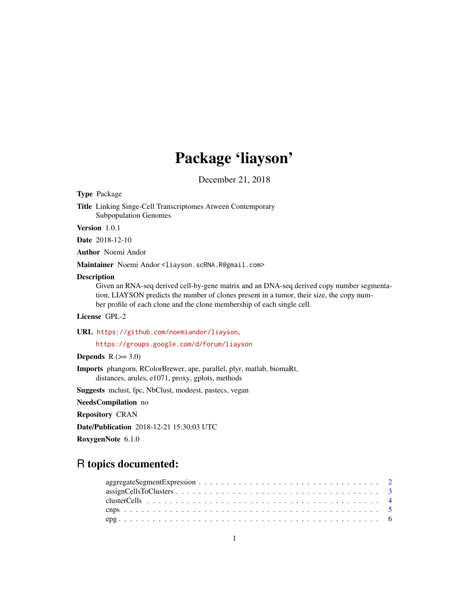## Package 'liayson'

December 21, 2018

<span id="page-0-0"></span>Type Package

Title Linking Singe-Cell Transcriptomes Atween Contemporary Subpopulation Genomes

Version 1.0.1

Date 2018-12-10

Author Noemi Andor

Maintainer Noemi Andor <liayson.scRNA.R@gmail.com>

#### **Description**

Given an RNA-seq derived cell-by-gene matrix and an DNA-seq derived copy number segmentation, LIAYSON predicts the number of clones present in a tumor, their size, the copy number profile of each clone and the clone membership of each single cell.

License GPL-2

URL <https://github.com/noemiandor/liayson>,

<https://groups.google.com/d/forum/liayson>

Depends  $R (=3.0)$ 

Imports phangorn, RColorBrewer, ape, parallel, plyr, matlab, biomaRt, distances, arules, e1071, proxy, gplots, methods

Suggests mclust, fpc, NbClust, modeest, pastecs, vegan

NeedsCompilation no

Repository CRAN

Date/Publication 2018-12-21 15:30:03 UTC

RoxygenNote 6.1.0

### R topics documented:

| $assignCells \text{TOClusters} \dots \dots \dots \dots \dots \dots \dots \dots \dots \dots \dots \dots \dots \dots \dots$ |  |
|---------------------------------------------------------------------------------------------------------------------------|--|
|                                                                                                                           |  |
|                                                                                                                           |  |
|                                                                                                                           |  |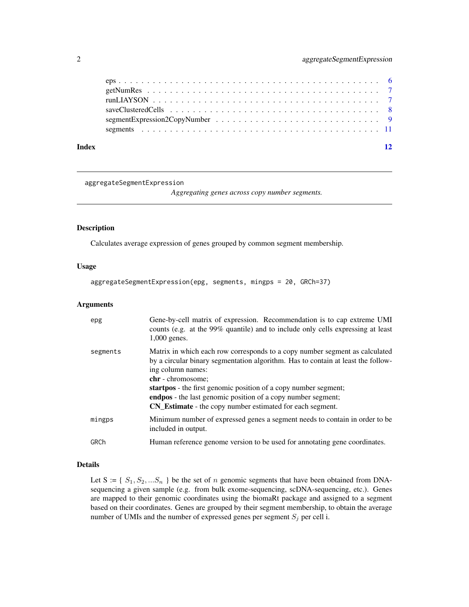<span id="page-1-0"></span>

| Index | 12 |
|-------|----|
|       |    |
|       |    |
|       |    |
|       |    |
|       |    |
|       |    |

aggregateSegmentExpression

*Aggregating genes across copy number segments.*

#### Description

Calculates average expression of genes grouped by common segment membership.

#### Usage

aggregateSegmentExpression(epg, segments, mingps = 20, GRCh=37)

#### Arguments

| epg      | Gene-by-cell matrix of expression. Recommendation is to cap extreme UMI<br>counts (e.g. at the 99% quantile) and to include only cells expressing at least<br>$1,000$ genes.                                                                                                                                                                                                                                     |
|----------|------------------------------------------------------------------------------------------------------------------------------------------------------------------------------------------------------------------------------------------------------------------------------------------------------------------------------------------------------------------------------------------------------------------|
| segments | Matrix in which each row corresponds to a copy number segment as calculated<br>by a circular binary segmentation algorithm. Has to contain at least the follow-<br>ing column names:<br>chr - chromosome;<br><b>startpos</b> - the first genomic position of a copy number segment;<br>endpos - the last genomic position of a copy number segment;<br>CN_Estimate - the copy number estimated for each segment. |
| mingps   | Minimum number of expressed genes a segment needs to contain in order to be<br>included in output.                                                                                                                                                                                                                                                                                                               |
| GRCh     | Human reference genome version to be used for annotating gene coordinates.                                                                                                                                                                                                                                                                                                                                       |

#### Details

Let S := {  $S_1$ ,  $S_2$ , ... $S_n$  } be the set of *n* genomic segments that have been obtained from DNAsequencing a given sample (e.g. from bulk exome-sequencing, scDNA-sequencing, etc.). Genes are mapped to their genomic coordinates using the biomaRt package and assigned to a segment based on their coordinates. Genes are grouped by their segment membership, to obtain the average number of UMIs and the number of expressed genes per segment  $S_j$  per cell i.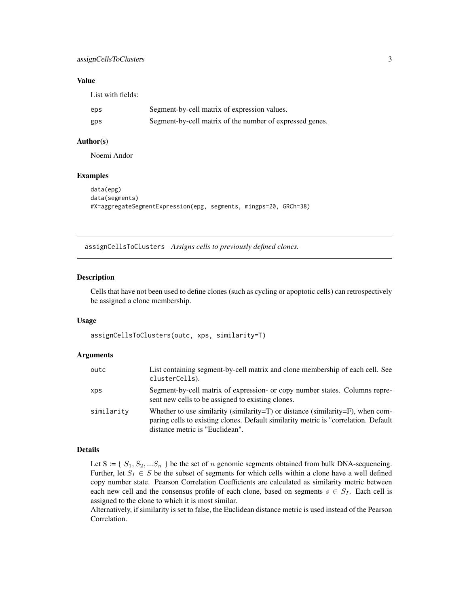#### <span id="page-2-0"></span>assignCellsToClusters 3

#### Value

List with fields:

| eps | Segment-by-cell matrix of expression values.             |
|-----|----------------------------------------------------------|
| gps | Segment-by-cell matrix of the number of expressed genes. |

#### Author(s)

Noemi Andor

#### Examples

```
data(epg)
data(segments)
#X=aggregateSegmentExpression(epg, segments, mingps=20, GRCh=38)
```
assignCellsToClusters *Assigns cells to previously defined clones.*

#### Description

Cells that have not been used to define clones (such as cycling or apoptotic cells) can retrospectively be assigned a clone membership.

#### Usage

assignCellsToClusters(outc, xps, similarity=T)

#### **Arguments**

| outc       | List containing segment-by-cell matrix and clone membership of each cell. See<br>clusterCells).                                                                                                                  |
|------------|------------------------------------------------------------------------------------------------------------------------------------------------------------------------------------------------------------------|
| <b>XDS</b> | Segment-by-cell matrix of expression- or copy number states. Columns repre-<br>sent new cells to be assigned to existing clones.                                                                                 |
| similarity | Whether to use similarity (similarity= $T$ ) or distance (similarity= $F$ ), when com-<br>paring cells to existing clones. Default similarity metric is "correlation. Default<br>distance metric is "Euclidean". |

#### Details

Let  $S := \{ S_1, S_2, \ldots, S_n \}$  be the set of n genomic segments obtained from bulk DNA-sequencing. Further, let  $S_I \in S$  be the subset of segments for which cells within a clone have a well defined copy number state. Pearson Correlation Coefficients are calculated as similarity metric between each new cell and the consensus profile of each clone, based on segments  $s \in S_I$ . Each cell is assigned to the clone to which it is most similar.

Alternatively, if similarity is set to false, the Euclidean distance metric is used instead of the Pearson Correlation.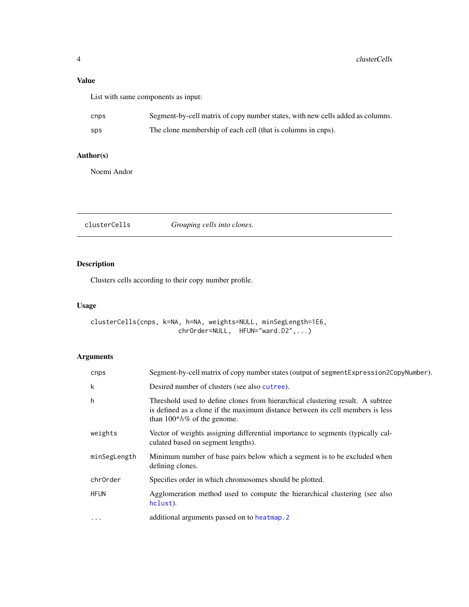#### <span id="page-3-0"></span>Value

List with same components as input:

| cnps | Segment-by-cell matrix of copy number states, with new cells added as columns. |
|------|--------------------------------------------------------------------------------|
| sps  | The clone membership of each cell (that is columns in cnps).                   |

#### Author(s)

Noemi Andor

<span id="page-3-1"></span>clusterCells *Grouping cells into clones.*

#### Description

Clusters cells according to their copy number profile.

#### Usage

```
clusterCells(cnps, k=NA, h=NA, weights=NULL, minSegLength=1E6,
                       chrOrder=NULL, HFUN="ward.D2",...)
```
#### Arguments

| Segment-by-cell matrix of copy number states (output of segment Expression 2CopyNumber).                                                                                                          |
|---------------------------------------------------------------------------------------------------------------------------------------------------------------------------------------------------|
| Desired number of clusters (see also cutree).                                                                                                                                                     |
| Threshold used to define clones from hierarchical clustering result. A subtree<br>is defined as a clone if the maximum distance between its cell members is less<br>than $100*h\%$ of the genome. |
| Vector of weights assigning differential importance to segments (typically cal-<br>culated based on segment lengths).                                                                             |
| Minimum number of base pairs below which a segment is to be excluded when<br>defining clones.                                                                                                     |
| Specifies order in which chromosomes should be plotted.                                                                                                                                           |
| Agglomeration method used to compute the hierarchical clustering (see also<br>hclust).                                                                                                            |
| additional arguments passed on to heatmap. 2                                                                                                                                                      |
|                                                                                                                                                                                                   |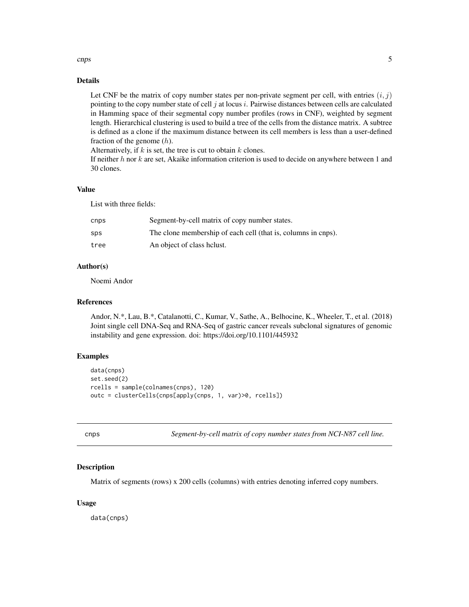#### <span id="page-4-0"></span>cnps 5

#### Details

Let CNF be the matrix of copy number states per non-private segment per cell, with entries  $(i, j)$ pointing to the copy number state of cell  $j$  at locus  $i$ . Pairwise distances between cells are calculated in Hamming space of their segmental copy number profiles (rows in CNF), weighted by segment length. Hierarchical clustering is used to build a tree of the cells from the distance matrix. A subtree is defined as a clone if the maximum distance between its cell members is less than a user-defined fraction of the genome  $(h)$ .

Alternatively, if  $k$  is set, the tree is cut to obtain  $k$  clones.

If neither  $h$  nor  $k$  are set, Akaike information criterion is used to decide on anywhere between 1 and 30 clones.

#### Value

List with three fields:

| cnps | Segment-by-cell matrix of copy number states.                 |
|------|---------------------------------------------------------------|
| sps  | The clone membership of each cell (that is, columns in cnps). |
| tree | An object of class helust.                                    |

#### Author(s)

Noemi Andor

#### References

Andor, N.\*, Lau, B.\*, Catalanotti, C., Kumar, V., Sathe, A., Belhocine, K., Wheeler, T., et al. (2018) Joint single cell DNA-Seq and RNA-Seq of gastric cancer reveals subclonal signatures of genomic instability and gene expression. doi: https://doi.org/10.1101/445932

#### Examples

```
data(cnps)
set.seed(2)
rcells = sample(colnames(cnps), 120)
outc = clusterCells(cnps[apply(cnps, 1, var)>0, rcells])
```

| ×<br>٠<br>×<br>۰, |
|-------------------|
|-------------------|

s **Segment-by-cell matrix of copy number states from NCI-N87 cell line.** 

#### Description

Matrix of segments (rows) x 200 cells (columns) with entries denoting inferred copy numbers.

#### Usage

data(cnps)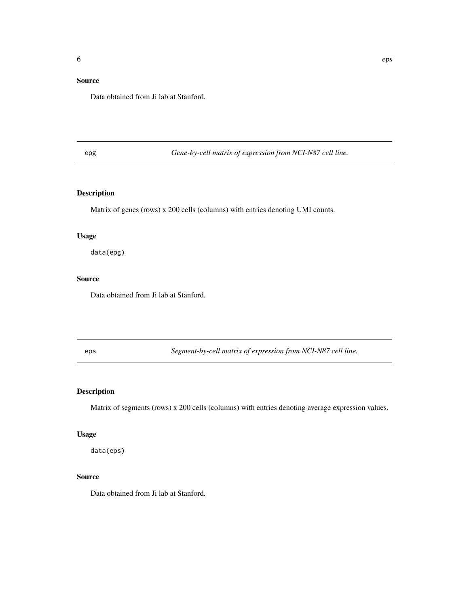#### <span id="page-5-0"></span>Source

Data obtained from Ji lab at Stanford.

epg *Gene-by-cell matrix of expression from NCI-N87 cell line.*

#### Description

Matrix of genes (rows) x 200 cells (columns) with entries denoting UMI counts.

#### Usage

data(epg)

#### Source

Data obtained from Ji lab at Stanford.

eps *Segment-by-cell matrix of expression from NCI-N87 cell line.*

#### Description

Matrix of segments (rows) x 200 cells (columns) with entries denoting average expression values.

#### Usage

data(eps)

#### Source

Data obtained from Ji lab at Stanford.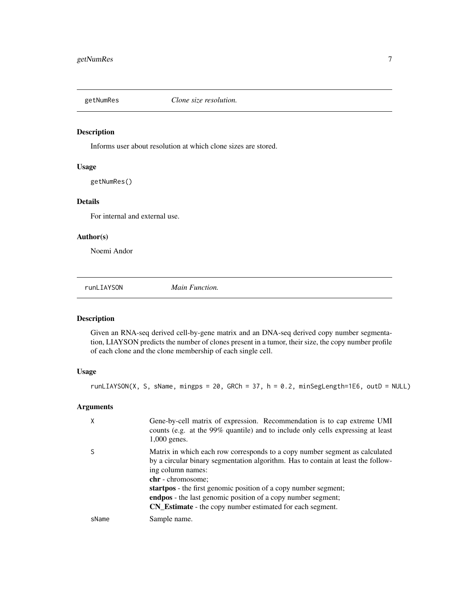<span id="page-6-0"></span>

#### Description

Informs user about resolution at which clone sizes are stored.

#### Usage

getNumRes()

#### Details

For internal and external use.

#### Author(s)

Noemi Andor

runLIAYSON *Main Function.*

#### Description

Given an RNA-seq derived cell-by-gene matrix and an DNA-seq derived copy number segmentation, LIAYSON predicts the number of clones present in a tumor, their size, the copy number profile of each clone and the clone membership of each single cell.

#### Usage

runLIAYSON(X, S, sName, mingps = 20, GRCh = 37, h = 0.2, minSegLength=1E6, outD = NULL)

#### Arguments

|       | Gene-by-cell matrix of expression. Recommendation is to cap extreme UMI<br>counts (e.g. at the 99% quantile) and to include only cells expressing at least<br>$1,000$ genes.                                                                                                                                                                                                                                            |
|-------|-------------------------------------------------------------------------------------------------------------------------------------------------------------------------------------------------------------------------------------------------------------------------------------------------------------------------------------------------------------------------------------------------------------------------|
|       | Matrix in which each row corresponds to a copy number segment as calculated<br>by a circular binary segmentation algorithm. Has to contain at least the follow-<br>ing column names:<br>chr - chromosome;<br><b>startpos</b> - the first genomic position of a copy number segment;<br>endpos - the last genomic position of a copy number segment;<br><b>CN_Estimate</b> - the copy number estimated for each segment. |
| sName | Sample name.                                                                                                                                                                                                                                                                                                                                                                                                            |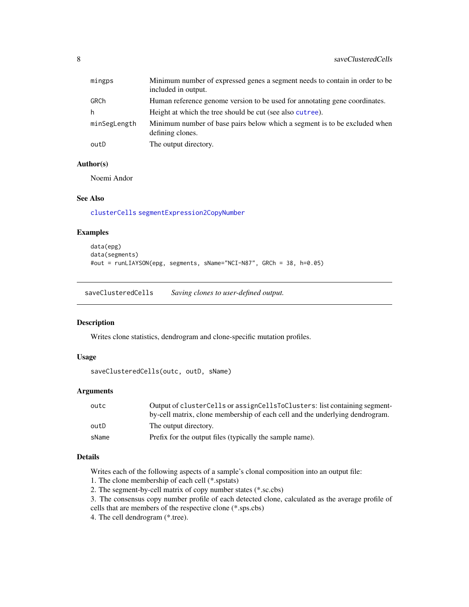<span id="page-7-0"></span>

| mingps       | Minimum number of expressed genes a segment needs to contain in order to be<br>included in output. |
|--------------|----------------------------------------------------------------------------------------------------|
| GRCh         | Human reference genome version to be used for annotating gene coordinates.                         |
| h            | Height at which the tree should be cut (see also cutree).                                          |
| minSegLength | Minimum number of base pairs below which a segment is to be excluded when<br>defining clones.      |
| outD         | The output directory.                                                                              |

#### Author(s)

Noemi Andor

#### See Also

[clusterCells](#page-3-1) [segmentExpression2CopyNumber](#page-8-1)

#### Examples

```
data(epg)
data(segments)
#out = runLIAYSON(epg, segments, sName="NCI-N87", GRCh = 38, h=0.05)
```
saveClusteredCells *Saving clones to user-defined output.*

#### Description

Writes clone statistics, dendrogram and clone-specific mutation profiles.

#### Usage

```
saveClusteredCells(outc, outD, sName)
```
#### Arguments

| outc  | Output of clusterCells or assignCellsToClusters: list containing segment-    |
|-------|------------------------------------------------------------------------------|
|       | by-cell matrix, clone membership of each cell and the underlying dendrogram. |
| outD  | The output directory.                                                        |
| sName | Prefix for the output files (typically the sample name).                     |

#### Details

Writes each of the following aspects of a sample's clonal composition into an output file:

- 1. The clone membership of each cell (\*.spstats)
- 2. The segment-by-cell matrix of copy number states (\*.sc.cbs)
- 3. The consensus copy number profile of each detected clone, calculated as the average profile of cells that are members of the respective clone (\*.sps.cbs)

4. The cell dendrogram (\*.tree).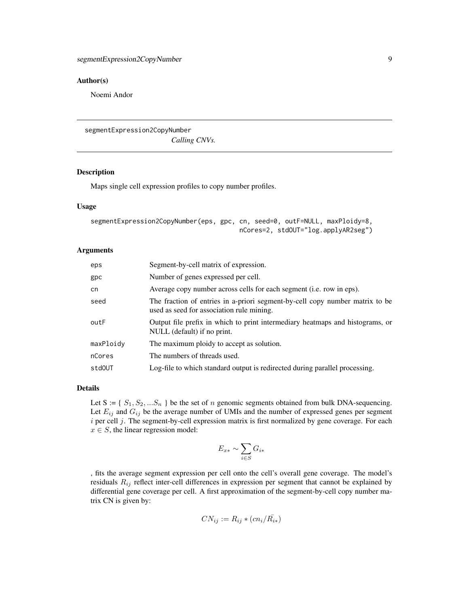#### <span id="page-8-0"></span>Author(s)

Noemi Andor

<span id="page-8-1"></span>segmentExpression2CopyNumber

*Calling CNVs.*

#### Description

Maps single cell expression profiles to copy number profiles.

#### Usage

```
segmentExpression2CopyNumber(eps, gpc, cn, seed=0, outF=NULL, maxPloidy=8,
                                       nCores=2, stdOUT="log.applyAR2seg")
```
#### Arguments

| eps       | Segment-by-cell matrix of expression.                                                                                     |
|-----------|---------------------------------------------------------------------------------------------------------------------------|
| gpc       | Number of genes expressed per cell.                                                                                       |
| cn        | Average copy number across cells for each segment (i.e. row in eps).                                                      |
| seed      | The fraction of entries in a-priori segment-by-cell copy number matrix to be<br>used as seed for association rule mining. |
| outF      | Output file prefix in which to print intermediary heatmaps and histograms, or<br>NULL (default) if no print.              |
| maxPloidy | The maximum ploidy to accept as solution.                                                                                 |
| nCores    | The numbers of threads used.                                                                                              |
| stdOUT    | Log-file to which standard output is redirected during parallel processing.                                               |

#### Details

Let  $S := \{ S_1, S_2, \ldots, S_n \}$  be the set of *n* genomic segments obtained from bulk DNA-sequencing. Let  $E_{ij}$  and  $G_{ij}$  be the average number of UMIs and the number of expressed genes per segment  $i$  per cell  $j$ . The segment-by-cell expression matrix is first normalized by gene coverage. For each  $x \in S$ , the linear regression model:

$$
E_{x*} \sim \sum_{i \in S} G_{i*}
$$

, fits the average segment expression per cell onto the cell's overall gene coverage. The model's residuals  $R_{ij}$  reflect inter-cell differences in expression per segment that cannot be explained by differential gene coverage per cell. A first approximation of the segment-by-cell copy number matrix CN is given by:

$$
CN_{ij} := R_{ij} * (cn_i/\bar{R_{i*}})
$$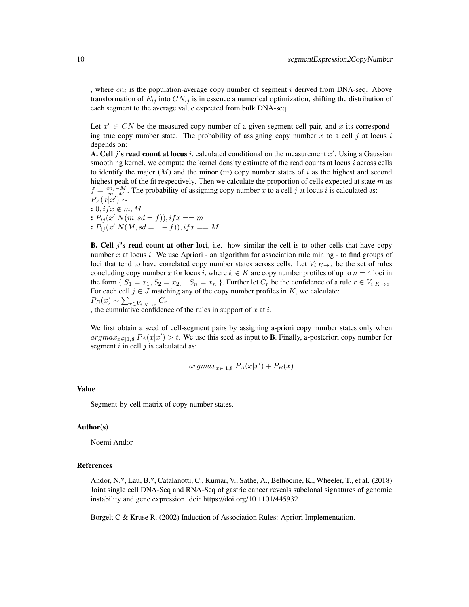, where  $cn_i$  is the population-average copy number of segment i derived from DNA-seq. Above transformation of  $E_{ij}$  into  $CN_{ij}$  is in essence a numerical optimization, shifting the distribution of each segment to the average value expected from bulk DNA-seq.

Let  $x' \in CN$  be the measured copy number of a given segment-cell pair, and x its corresponding true copy number state. The probability of assigning copy number x to a cell j at locus i depends on:

A. Cell j's read count at locus i, calculated conditional on the measurement  $x'$ . Using a Gaussian smoothing kernel, we compute the kernel density estimate of the read counts at locus i across cells to identify the major  $(M)$  and the minor  $(m)$  copy number states of i as the highest and second highest peak of the fit respectively. Then we calculate the proportion of cells expected at state  $m$  as  $f = \frac{cn_i - M}{m - M}$ . The probability of assigning copy number x to a cell j at locus i is calculated as:  $P_A(x|x'|) \sim$ :  $0, if x \notin m, M$ :  $P_{ij}(x'|N(m, sd = f)),$  if  $x == m$ 

:  $P_{ij}(x'|N(M, sd = 1 - f)), if x == M$ 

**B. Cell**  $i$ 's read count at other loci, i.e. how similar the cell is to other cells that have copy number x at locus i. We use Apriori - an algorithm for association rule mining - to find groups of loci that tend to have correlated copy number states across cells. Let  $V_{i,K\to x}$  be the set of rules concluding copy number x for locus i, where  $k \in K$  are copy number profiles of up to  $n = 4$  loci in the form {  $S_1 = x_1, S_2 = x_2, ... S_n = x_n$  }. Further let  $C_r$  be the confidence of a rule  $r \in V_{i,K \to x}$ . For each cell  $j \in J$  matching any of the copy number profiles in K, we calculate:  $P_B(x) \sim \sum_{r \in V_{i,K \to x}} C_r$ , the cumulative confidence of the rules in support of x at i.

We first obtain a seed of cell-segment pairs by assigning a-priori copy number states only when  $argmax_{x \in [1,8]} P_A(x|x') > t$ . We use this seed as input to **B**. Finally, a-posteriori copy number for segment  $i$  in cell  $j$  is calculated as:

$$
argmax_{x \in [1,8]} P_A(x|x') + P_B(x)
$$

#### Value

Segment-by-cell matrix of copy number states.

#### Author(s)

Noemi Andor

#### References

Andor, N.\*, Lau, B.\*, Catalanotti, C., Kumar, V., Sathe, A., Belhocine, K., Wheeler, T., et al. (2018) Joint single cell DNA-Seq and RNA-Seq of gastric cancer reveals subclonal signatures of genomic instability and gene expression. doi: https://doi.org/10.1101/445932

Borgelt C & Kruse R. (2002) Induction of Association Rules: Apriori Implementation.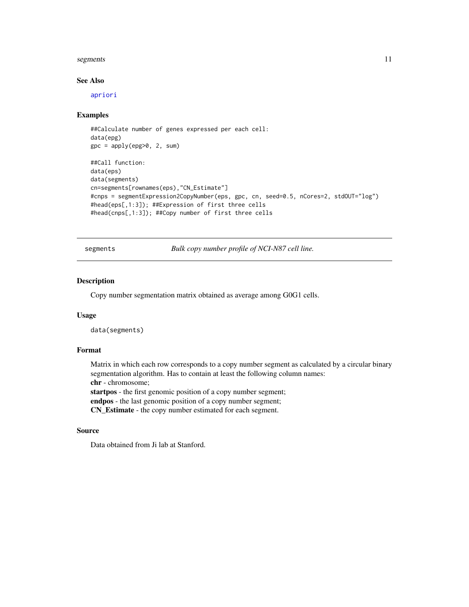#### <span id="page-10-0"></span>segments that the segments of  $\sim$  11

#### See Also

[apriori](#page-0-0)

#### Examples

```
##Calculate number of genes expressed per each cell:
data(epg)
gpc = apply(epg>0, 2, sum)
##Call function:
data(eps)
data(segments)
cn=segments[rownames(eps),"CN_Estimate"]
#cnps = segmentExpression2CopyNumber(eps, gpc, cn, seed=0.5, nCores=2, stdOUT="log")
#head(eps[,1:3]); ##Expression of first three cells
#head(cnps[,1:3]); ##Copy number of first three cells
```
segments *Bulk copy number profile of NCI-N87 cell line.*

#### Description

Copy number segmentation matrix obtained as average among G0G1 cells.

#### Usage

data(segments)

#### Format

Matrix in which each row corresponds to a copy number segment as calculated by a circular binary segmentation algorithm. Has to contain at least the following column names: chr - chromosome;

startpos - the first genomic position of a copy number segment; endpos - the last genomic position of a copy number segment;

CN\_Estimate - the copy number estimated for each segment.

#### Source

Data obtained from Ji lab at Stanford.